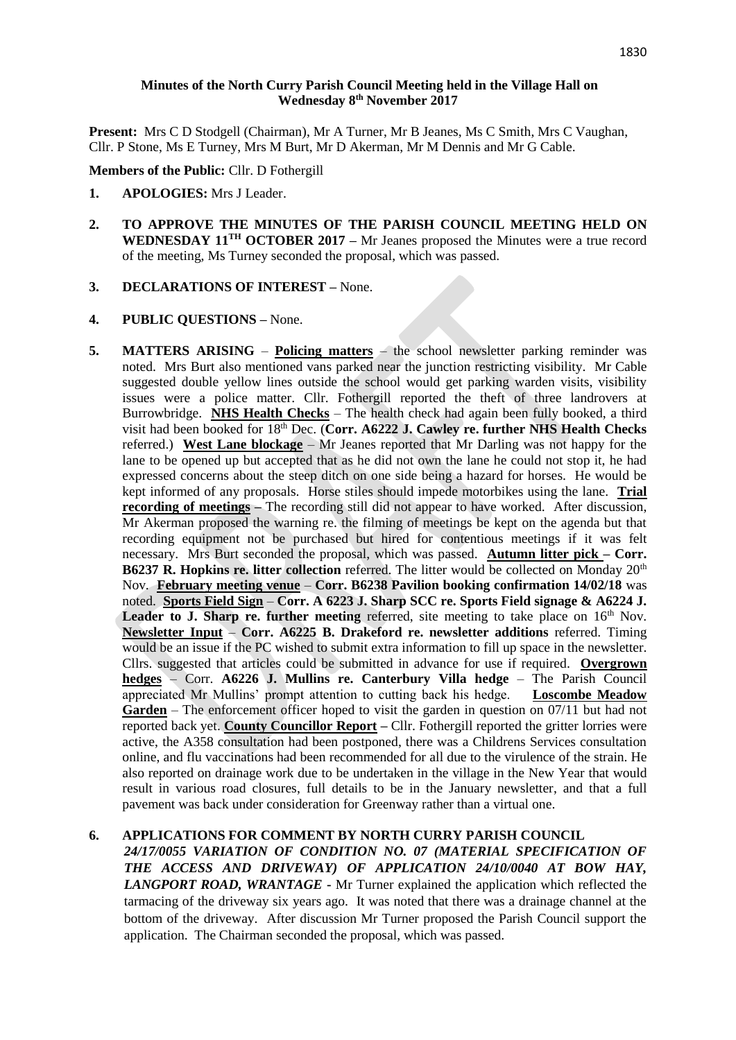# **Minutes of the North Curry Parish Council Meeting held in the Village Hall on Wednesday 8 th November 2017**

**Present:** Mrs C D Stodgell (Chairman), Mr A Turner, Mr B Jeanes, Ms C Smith, Mrs C Vaughan, Cllr. P Stone, Ms E Turney, Mrs M Burt, Mr D Akerman, Mr M Dennis and Mr G Cable.

**Members of the Public:** Cllr. D Fothergill

- **1. APOLOGIES:** Mrs J Leader.
- **2. TO APPROVE THE MINUTES OF THE PARISH COUNCIL MEETING HELD ON WEDNESDAY 11 TH OCTOBER 2017 –** Mr Jeanes proposed the Minutes were a true record of the meeting, Ms Turney seconded the proposal, which was passed.
- **3. DECLARATIONS OF INTEREST –** None.

#### **4. PUBLIC QUESTIONS –** None.

**5. MATTERS ARISING** – **Policing matters** – the school newsletter parking reminder was noted. Mrs Burt also mentioned vans parked near the junction restricting visibility. Mr Cable suggested double yellow lines outside the school would get parking warden visits, visibility issues were a police matter. Cllr. Fothergill reported the theft of three landrovers at Burrowbridge. **NHS Health Checks** – The health check had again been fully booked, a third visit had been booked for 18th Dec. (**Corr. A6222 J. Cawley re. further NHS Health Checks** referred.) **West Lane blockage** – Mr Jeanes reported that Mr Darling was not happy for the lane to be opened up but accepted that as he did not own the lane he could not stop it, he had expressed concerns about the steep ditch on one side being a hazard for horses. He would be kept informed of any proposals. Horse stiles should impede motorbikes using the lane. **Trial recording of meetings** – The recording still did not appear to have worked. After discussion, Mr Akerman proposed the warning re. the filming of meetings be kept on the agenda but that recording equipment not be purchased but hired for contentious meetings if it was felt necessary. Mrs Burt seconded the proposal, which was passed. **Autumn litter pick – Corr. B6237 R. Hopkins re. litter collection** referred. The litter would be collected on Monday 20<sup>th</sup> Nov. **February meeting venue** – **Corr. B6238 Pavilion booking confirmation 14/02/18** was noted. **Sports Field Sign** – **Corr. A 6223 J. Sharp SCC re. Sports Field signage & A6224 J. Leader to J. Sharp re. further meeting** referred, site meeting to take place on  $16<sup>th</sup>$  Nov. **Newsletter Input** – **Corr. A6225 B. Drakeford re. newsletter additions** referred. Timing would be an issue if the PC wished to submit extra information to fill up space in the newsletter. Cllrs. suggested that articles could be submitted in advance for use if required. **Overgrown hedges** – Corr. **A6226 J. Mullins re. Canterbury Villa hedge** – The Parish Council appreciated Mr Mullins' prompt attention to cutting back his hedge. **Loscombe Meadow Garden** – The enforcement officer hoped to visit the garden in question on 07/11 but had not reported back yet. **County Councillor Report –** Cllr. Fothergill reported the gritter lorries were active, the A358 consultation had been postponed, there was a Childrens Services consultation online, and flu vaccinations had been recommended for all due to the virulence of the strain. He also reported on drainage work due to be undertaken in the village in the New Year that would result in various road closures, full details to be in the January newsletter, and that a full pavement was back under consideration for Greenway rather than a virtual one.

### **6. APPLICATIONS FOR COMMENT BY NORTH CURRY PARISH COUNCIL**

*24/17/0055 VARIATION OF CONDITION NO. 07 (MATERIAL SPECIFICATION OF THE ACCESS AND DRIVEWAY) OF APPLICATION 24/10/0040 AT BOW HAY, LANGPORT ROAD, WRANTAGE* **-** Mr Turner explained the application which reflected the tarmacing of the driveway six years ago. It was noted that there was a drainage channel at the bottom of the driveway. After discussion Mr Turner proposed the Parish Council support the application. The Chairman seconded the proposal, which was passed.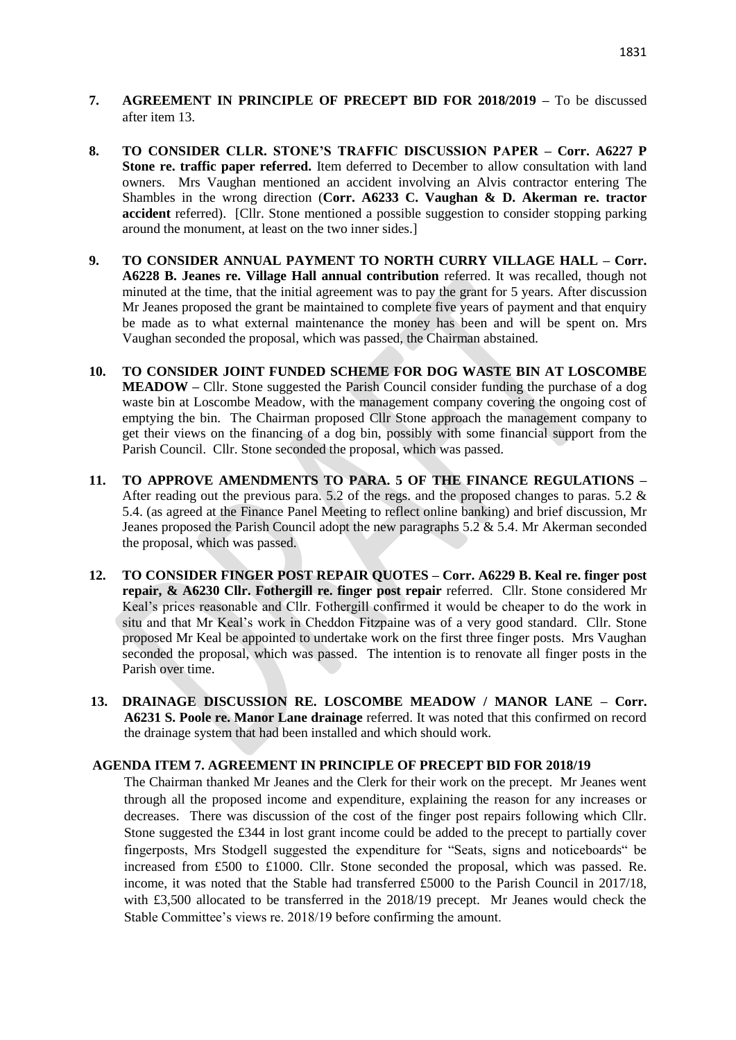- **7. AGREEMENT IN PRINCIPLE OF PRECEPT BID FOR 2018/2019 –** To be discussed after item 13.
- **8. TO CONSIDER CLLR. STONE'S TRAFFIC DISCUSSION PAPER – Corr. A6227 P Stone re. traffic paper referred.** Item deferred to December to allow consultation with land owners. Mrs Vaughan mentioned an accident involving an Alvis contractor entering The Shambles in the wrong direction (**Corr. A6233 C. Vaughan & D. Akerman re. tractor accident** referred). [Cllr. Stone mentioned a possible suggestion to consider stopping parking around the monument, at least on the two inner sides.]
- **9. TO CONSIDER ANNUAL PAYMENT TO NORTH CURRY VILLAGE HALL – Corr. A6228 B. Jeanes re. Village Hall annual contribution** referred. It was recalled, though not minuted at the time, that the initial agreement was to pay the grant for 5 years. After discussion Mr Jeanes proposed the grant be maintained to complete five years of payment and that enquiry be made as to what external maintenance the money has been and will be spent on. Mrs Vaughan seconded the proposal, which was passed, the Chairman abstained.
- **10. TO CONSIDER JOINT FUNDED SCHEME FOR DOG WASTE BIN AT LOSCOMBE MEADOW –** Cllr. Stone suggested the Parish Council consider funding the purchase of a dog waste bin at Loscombe Meadow, with the management company covering the ongoing cost of emptying the bin. The Chairman proposed Cllr Stone approach the management company to get their views on the financing of a dog bin, possibly with some financial support from the Parish Council. Cllr. Stone seconded the proposal, which was passed.
- **11. TO APPROVE AMENDMENTS TO PARA. 5 OF THE FINANCE REGULATIONS –** After reading out the previous para. 5.2 of the regs. and the proposed changes to paras. 5.2  $\&$ 5.4. (as agreed at the Finance Panel Meeting to reflect online banking) and brief discussion, Mr Jeanes proposed the Parish Council adopt the new paragraphs 5.2 & 5.4. Mr Akerman seconded the proposal, which was passed.
- **12. TO CONSIDER FINGER POST REPAIR QUOTES – Corr. A6229 B. Keal re. finger post repair, & A6230 Cllr. Fothergill re. finger post repair** referred. Cllr. Stone considered Mr Keal's prices reasonable and Cllr. Fothergill confirmed it would be cheaper to do the work in situ and that Mr Keal's work in Cheddon Fitzpaine was of a very good standard. Cllr. Stone proposed Mr Keal be appointed to undertake work on the first three finger posts. Mrs Vaughan seconded the proposal, which was passed. The intention is to renovate all finger posts in the Parish over time.
- **13. DRAINAGE DISCUSSION RE. LOSCOMBE MEADOW / MANOR LANE – Corr. A6231 S. Poole re. Manor Lane drainage** referred. It was noted that this confirmed on record the drainage system that had been installed and which should work.

### **AGENDA ITEM 7. AGREEMENT IN PRINCIPLE OF PRECEPT BID FOR 2018/19**

The Chairman thanked Mr Jeanes and the Clerk for their work on the precept. Mr Jeanes went through all the proposed income and expenditure, explaining the reason for any increases or decreases. There was discussion of the cost of the finger post repairs following which Cllr. Stone suggested the £344 in lost grant income could be added to the precept to partially cover fingerposts, Mrs Stodgell suggested the expenditure for "Seats, signs and noticeboards" be increased from £500 to £1000. Cllr. Stone seconded the proposal, which was passed. Re. income, it was noted that the Stable had transferred £5000 to the Parish Council in 2017/18, with £3,500 allocated to be transferred in the 2018/19 precept. Mr Jeanes would check the Stable Committee's views re. 2018/19 before confirming the amount.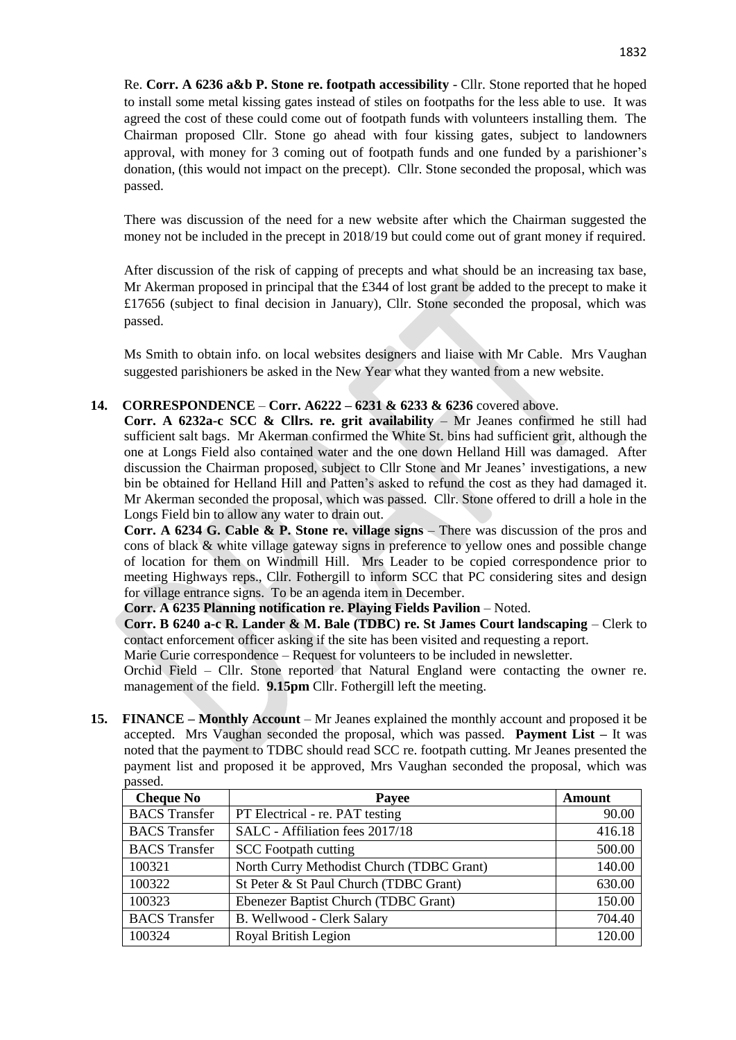Re. **Corr. A 6236 a&b P. Stone re. footpath accessibility** - Cllr. Stone reported that he hoped to install some metal kissing gates instead of stiles on footpaths for the less able to use. It was agreed the cost of these could come out of footpath funds with volunteers installing them. The Chairman proposed Cllr. Stone go ahead with four kissing gates, subject to landowners approval, with money for 3 coming out of footpath funds and one funded by a parishioner's donation, (this would not impact on the precept). Cllr. Stone seconded the proposal, which was passed.

There was discussion of the need for a new website after which the Chairman suggested the money not be included in the precept in 2018/19 but could come out of grant money if required.

After discussion of the risk of capping of precepts and what should be an increasing tax base, Mr Akerman proposed in principal that the  $\pounds$ 344 of lost grant be added to the precept to make it £17656 (subject to final decision in January), Cllr. Stone seconded the proposal, which was passed.

Ms Smith to obtain info. on local websites designers and liaise with Mr Cable. Mrs Vaughan suggested parishioners be asked in the New Year what they wanted from a new website.

# **14. CORRESPONDENCE** – **Corr. A6222 – 6231 & 6233 & 6236** covered above.

**Corr. A 6232a-c SCC & Cllrs. re. grit availability** – Mr Jeanes confirmed he still had sufficient salt bags. Mr Akerman confirmed the White St. bins had sufficient grit, although the one at Longs Field also contained water and the one down Helland Hill was damaged. After discussion the Chairman proposed, subject to Cllr Stone and Mr Jeanes' investigations, a new bin be obtained for Helland Hill and Patten's asked to refund the cost as they had damaged it. Mr Akerman seconded the proposal, which was passed. Cllr. Stone offered to drill a hole in the Longs Field bin to allow any water to drain out.

**Corr. A 6234 G. Cable & P. Stone re. village signs** – There was discussion of the pros and cons of black & white village gateway signs in preference to yellow ones and possible change of location for them on Windmill Hill. Mrs Leader to be copied correspondence prior to meeting Highways reps., Cllr. Fothergill to inform SCC that PC considering sites and design for village entrance signs. To be an agenda item in December.

**Corr. A 6235 Planning notification re. Playing Fields Pavilion** – Noted.

**Corr. B 6240 a-c R. Lander & M. Bale (TDBC) re. St James Court landscaping** – Clerk to contact enforcement officer asking if the site has been visited and requesting a report.

Marie Curie correspondence – Request for volunteers to be included in newsletter.

Orchid Field – Cllr. Stone reported that Natural England were contacting the owner re. management of the field. **9.15pm** Cllr. Fothergill left the meeting.

**15. FINANCE – Monthly Account** – Mr Jeanes explained the monthly account and proposed it be accepted. Mrs Vaughan seconded the proposal, which was passed. **Payment List –** It was noted that the payment to TDBC should read SCC re. footpath cutting. Mr Jeanes presented the payment list and proposed it be approved, Mrs Vaughan seconded the proposal, which was passed.

| <b>Cheque No</b>     | Payee                                     | Amount |
|----------------------|-------------------------------------------|--------|
| <b>BACS</b> Transfer | PT Electrical - re. PAT testing           | 90.00  |
| <b>BACS</b> Transfer | SALC - Affiliation fees 2017/18           | 416.18 |
| <b>BACS</b> Transfer | <b>SCC</b> Footpath cutting               | 500.00 |
| 100321               | North Curry Methodist Church (TDBC Grant) | 140.00 |
| 100322               | St Peter & St Paul Church (TDBC Grant)    | 630.00 |
| 100323               | Ebenezer Baptist Church (TDBC Grant)      | 150.00 |
| <b>BACS</b> Transfer | B. Wellwood - Clerk Salary                | 704.40 |
| 100324               | Royal British Legion                      | 120.00 |